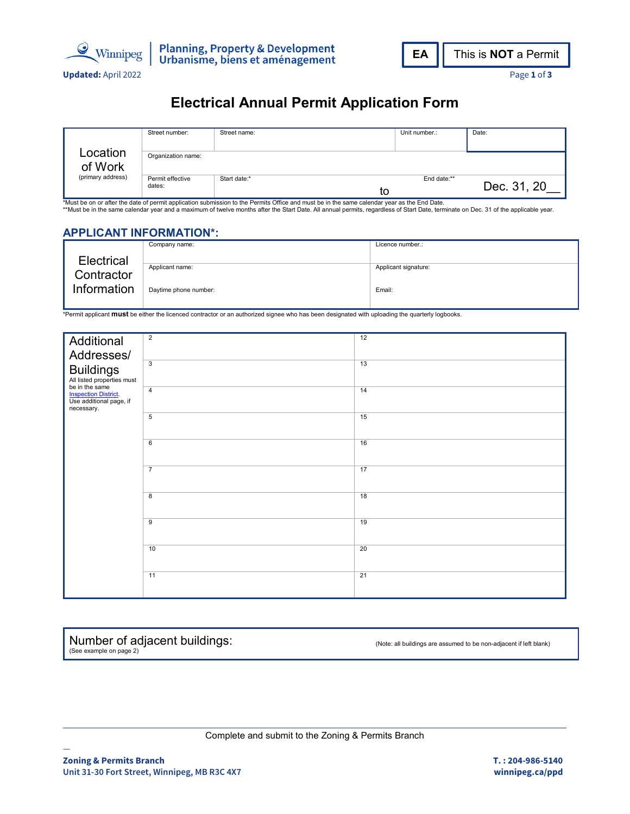



## **Electrical Annual Permit Application Form**

|                   | Street number:             | Street name: | Unit number.: | Date:       |  |  |
|-------------------|----------------------------|--------------|---------------|-------------|--|--|
|                   |                            |              |               |             |  |  |
| Location          | Organization name:         |              |               |             |  |  |
| of Work           |                            |              |               |             |  |  |
| (primary address) | Permit effective<br>dates: | Start date:* | End date:**   |             |  |  |
|                   |                            | το           |               | Dec. 31, 20 |  |  |

\*Must be on or after the date of permit application submission to the Permits Office and must be in the same calendar year as the End Date.<br>\*\*Must be in the same calendar year and a maximum of twelve months after the Start

### **APPLICANT INFORMATION\*:**

|                           | Company name:         | Licence number.:     |
|---------------------------|-----------------------|----------------------|
| <b>Electrical</b>         |                       |                      |
| Contractor<br>Information | Applicant name:       | Applicant signature: |
|                           | Daytime phone number: | Email:               |

\*Permit applicant **must** be either the licenced contractor or an authorized signee who has been designated with uploading the quarterly logbooks.

| Additional                                                                     | $\overline{2}$          | 12 |
|--------------------------------------------------------------------------------|-------------------------|----|
| Addresses/<br><b>Buildings</b><br>All listed properties must<br>be in the same |                         |    |
|                                                                                | $\overline{\mathbf{3}}$ | 13 |
|                                                                                |                         |    |
|                                                                                |                         |    |
| <b>Inspection District.</b><br>Use additional page, if                         | $\overline{4}$          | 14 |
| necessary.                                                                     | 5                       | 15 |
|                                                                                |                         |    |
|                                                                                | 6                       | 16 |
|                                                                                |                         |    |
|                                                                                | $\overline{7}$          | 17 |
|                                                                                |                         |    |
|                                                                                | 8                       | 18 |
|                                                                                |                         |    |
|                                                                                | $\overline{9}$          | 19 |
|                                                                                |                         |    |
|                                                                                | 10                      | 20 |
|                                                                                |                         |    |
|                                                                                | 11                      | 21 |
|                                                                                |                         |    |
|                                                                                |                         |    |

Number of adjacent buildings: (See example on page 2)

(Note: all buildings are assumed to be non-adjacent if left blank)

Complete and submit to the Zoning & Permits Branch

—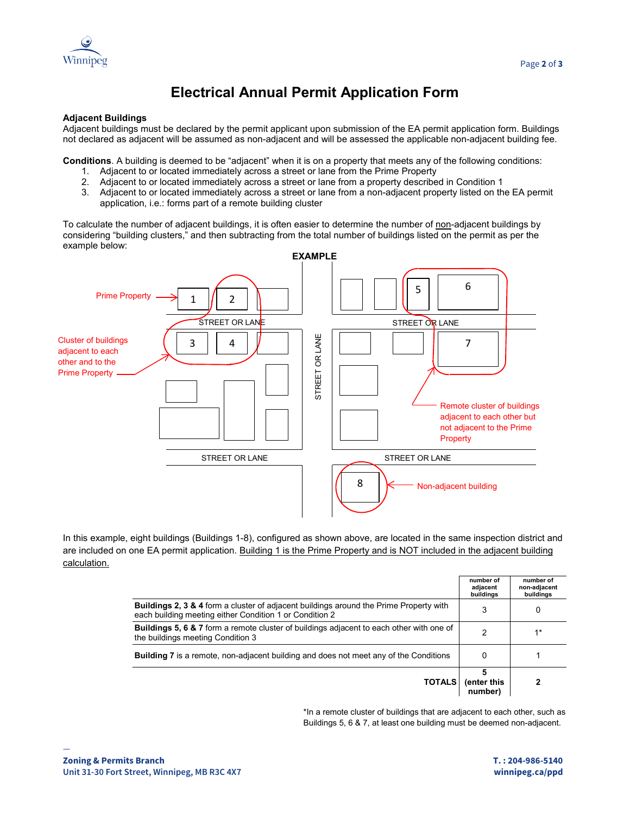

# **Electrical Annual Permit Application Form**

### **Adjacent Buildings**

Adjacent buildings must be declared by the permit applicant upon submission of the EA permit application form. Buildings not declared as adjacent will be assumed as non-adjacent and will be assessed the applicable non-adjacent building fee.

**Conditions**. A building is deemed to be "adjacent" when it is on a property that meets any of the following conditions:

- 1. Adjacent to or located immediately across a street or lane from the Prime Property
- 2. Adjacent to or located immediately across a street or lane from a property described in Condition 1
- 3. Adjacent to or located immediately across a street or lane from a non-adjacent property listed on the EA permit application, i.e.: forms part of a remote building cluster

To calculate the number of adjacent buildings, it is often easier to determine the number of non-adjacent buildings by considering "building clusters," and then subtracting from the total number of buildings listed on the permit as per the example below:



In this example, eight buildings (Buildings 1-8), configured as shown above, are located in the same inspection district and are included on one EA permit application. Building 1 is the Prime Property and is NOT included in the adjacent building calculation.

|                                                                                                                                                              | number of<br>adjacent<br>buildings | number of<br>non-adjacent<br>buildings |
|--------------------------------------------------------------------------------------------------------------------------------------------------------------|------------------------------------|----------------------------------------|
| <b>Buildings 2, 3 &amp; 4</b> form a cluster of adjacent buildings around the Prime Property with<br>each building meeting either Condition 1 or Condition 2 | 3                                  | 0                                      |
| <b>Buildings 5, 6 &amp; 7</b> form a remote cluster of buildings adjacent to each other with one of<br>the buildings meeting Condition 3                     | 2                                  | $1*$                                   |
| <b>Building 7</b> is a remote, non-adjacent building and does not meet any of the Conditions                                                                 |                                    |                                        |
| <b>TOTALS</b>                                                                                                                                                | (enter this<br>number)             |                                        |

\*In a remote cluster of buildings that are adjacent to each other, such as Buildings 5, 6 & 7, at least one building must be deemed non-adjacent.